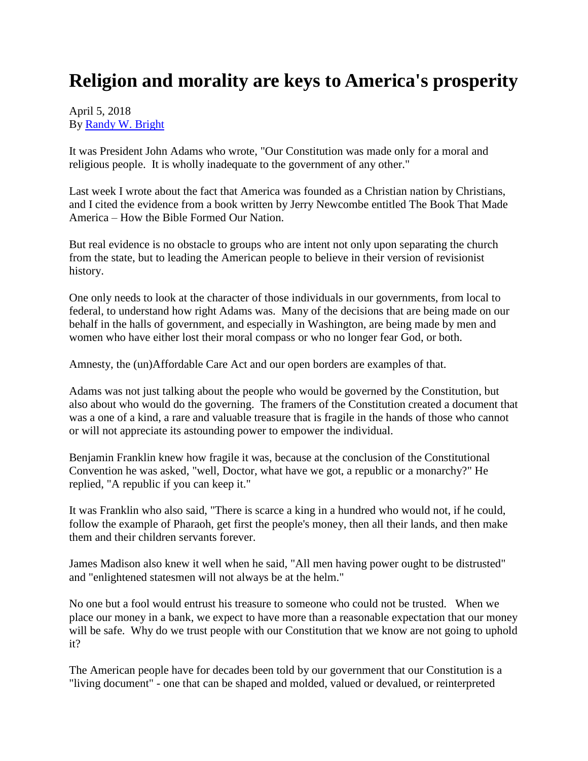## **Religion and morality are keys to America's prosperity**

## April 5, 2018 By [Randy W. Bright](http://www.tulsabeacon.com/author/slug-o6yd1v)

It was President John Adams who wrote, "Our Constitution was made only for a moral and religious people. It is wholly inadequate to the government of any other."

Last week I wrote about the fact that America was founded as a Christian nation by Christians, and I cited the evidence from a book written by Jerry Newcombe entitled The Book That Made America – How the Bible Formed Our Nation.

But real evidence is no obstacle to groups who are intent not only upon separating the church from the state, but to leading the American people to believe in their version of revisionist history.

One only needs to look at the character of those individuals in our governments, from local to federal, to understand how right Adams was. Many of the decisions that are being made on our behalf in the halls of government, and especially in Washington, are being made by men and women who have either lost their moral compass or who no longer fear God, or both.

Amnesty, the (un)Affordable Care Act and our open borders are examples of that.

Adams was not just talking about the people who would be governed by the Constitution, but also about who would do the governing. The framers of the Constitution created a document that was a one of a kind, a rare and valuable treasure that is fragile in the hands of those who cannot or will not appreciate its astounding power to empower the individual.

Benjamin Franklin knew how fragile it was, because at the conclusion of the Constitutional Convention he was asked, "well, Doctor, what have we got, a republic or a monarchy?" He replied, "A republic if you can keep it."

It was Franklin who also said, "There is scarce a king in a hundred who would not, if he could, follow the example of Pharaoh, get first the people's money, then all their lands, and then make them and their children servants forever.

James Madison also knew it well when he said, "All men having power ought to be distrusted" and "enlightened statesmen will not always be at the helm."

No one but a fool would entrust his treasure to someone who could not be trusted. When we place our money in a bank, we expect to have more than a reasonable expectation that our money will be safe. Why do we trust people with our Constitution that we know are not going to uphold it?

The American people have for decades been told by our government that our Constitution is a "living document" - one that can be shaped and molded, valued or devalued, or reinterpreted